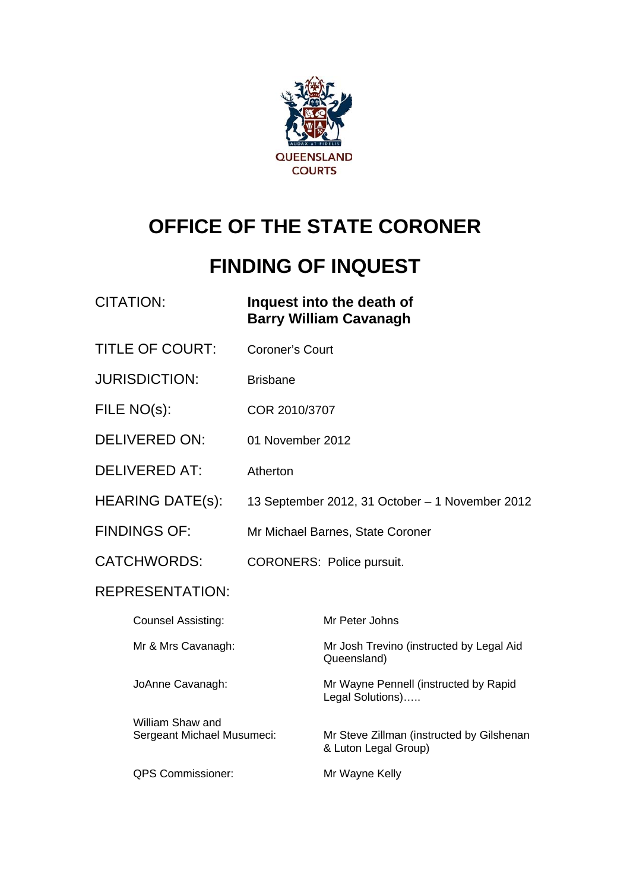

# **OFFICE OF THE STATE CORONER**

# **FINDING OF INQUEST**

| <b>CITATION:</b>                               |                        | Inquest into the death of<br><b>Barry William Cavanagh</b>        |
|------------------------------------------------|------------------------|-------------------------------------------------------------------|
| <b>TITLE OF COURT:</b>                         | <b>Coroner's Court</b> |                                                                   |
| <b>JURISDICTION:</b>                           | <b>Brisbane</b>        |                                                                   |
| FILE NO(s):                                    | COR 2010/3707          |                                                                   |
| <b>DELIVERED ON:</b>                           | 01 November 2012       |                                                                   |
| <b>DELIVERED AT:</b>                           | Atherton               |                                                                   |
| <b>HEARING DATE(s):</b>                        |                        | 13 September 2012, 31 October - 1 November 2012                   |
| <b>FINDINGS OF:</b>                            |                        | Mr Michael Barnes, State Coroner                                  |
| <b>CATCHWORDS:</b>                             |                        | <b>CORONERS: Police pursuit.</b>                                  |
| REPRESENTATION:                                |                        |                                                                   |
| <b>Counsel Assisting:</b>                      |                        | Mr Peter Johns                                                    |
| Mr & Mrs Cavanagh:                             |                        | Mr Josh Trevino (instructed by Legal Aid<br>Queensland)           |
| JoAnne Cavanagh:                               |                        | Mr Wayne Pennell (instructed by Rapid<br>Legal Solutions)         |
| William Shaw and<br>Sergeant Michael Musumeci: |                        | Mr Steve Zillman (instructed by Gilshenan<br>& Luton Legal Group) |
| <b>QPS Commissioner:</b>                       |                        | Mr Wayne Kelly                                                    |
|                                                |                        |                                                                   |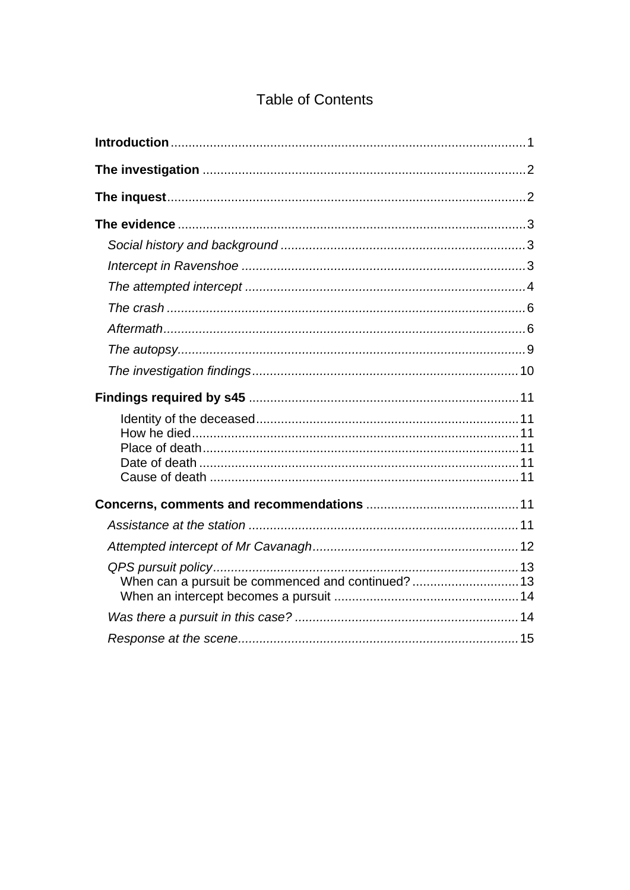## **Table of Contents**

| When can a pursuit be commenced and continued?  13 |  |
|----------------------------------------------------|--|
|                                                    |  |
|                                                    |  |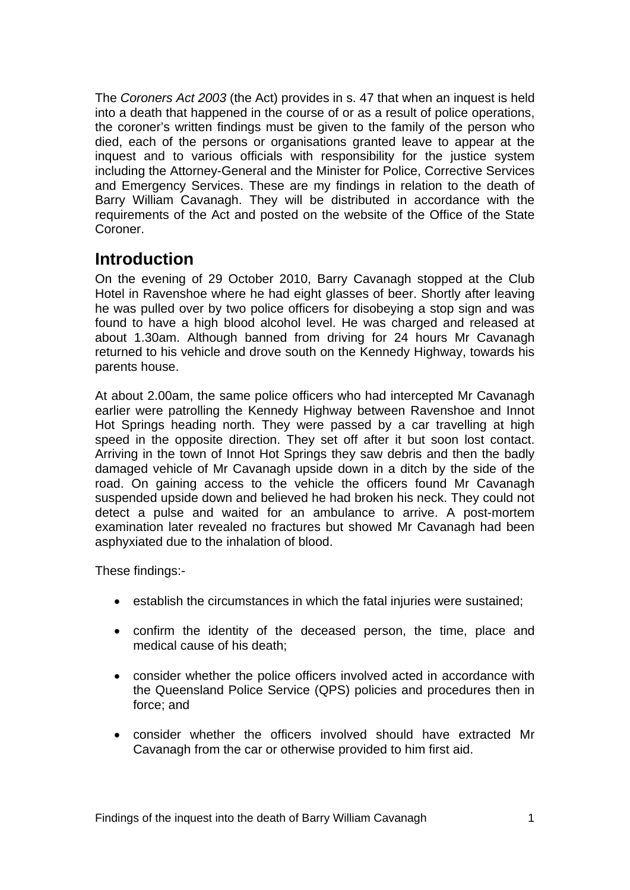The *Coroners Act 2003* (the Act) provides in s. 47 that when an inquest is held into a death that happened in the course of or as a result of police operations, the coroner's written findings must be given to the family of the person who died, each of the persons or organisations granted leave to appear at the inquest and to various officials with responsibility for the justice system including the Attorney-General and the Minister for Police, Corrective Services and Emergency Services. These are my findings in relation to the death of Barry William Cavanagh. They will be distributed in accordance with the requirements of the Act and posted on the website of the Office of the State Coroner.

# <span id="page-2-0"></span>**Introduction**

On the evening of 29 October 2010, Barry Cavanagh stopped at the Club Hotel in Ravenshoe where he had eight glasses of beer. Shortly after leaving he was pulled over by two police officers for disobeying a stop sign and was found to have a high blood alcohol level. He was charged and released at about 1.30am. Although banned from driving for 24 hours Mr Cavanagh returned to his vehicle and drove south on the Kennedy Highway, towards his parents house.

At about 2.00am, the same police officers who had intercepted Mr Cavanagh earlier were patrolling the Kennedy Highway between Ravenshoe and Innot Hot Springs heading north. They were passed by a car travelling at high speed in the opposite direction. They set off after it but soon lost contact. Arriving in the town of Innot Hot Springs they saw debris and then the badly damaged vehicle of Mr Cavanagh upside down in a ditch by the side of the road. On gaining access to the vehicle the officers found Mr Cavanagh suspended upside down and believed he had broken his neck. They could not detect a pulse and waited for an ambulance to arrive. A post-mortem examination later revealed no fractures but showed Mr Cavanagh had been asphyxiated due to the inhalation of blood.

These findings:-

- establish the circumstances in which the fatal injuries were sustained;
- confirm the identity of the deceased person, the time, place and medical cause of his death;
- consider whether the police officers involved acted in accordance with the Queensland Police Service (QPS) policies and procedures then in force; and
- consider whether the officers involved should have extracted Mr Cavanagh from the car or otherwise provided to him first aid.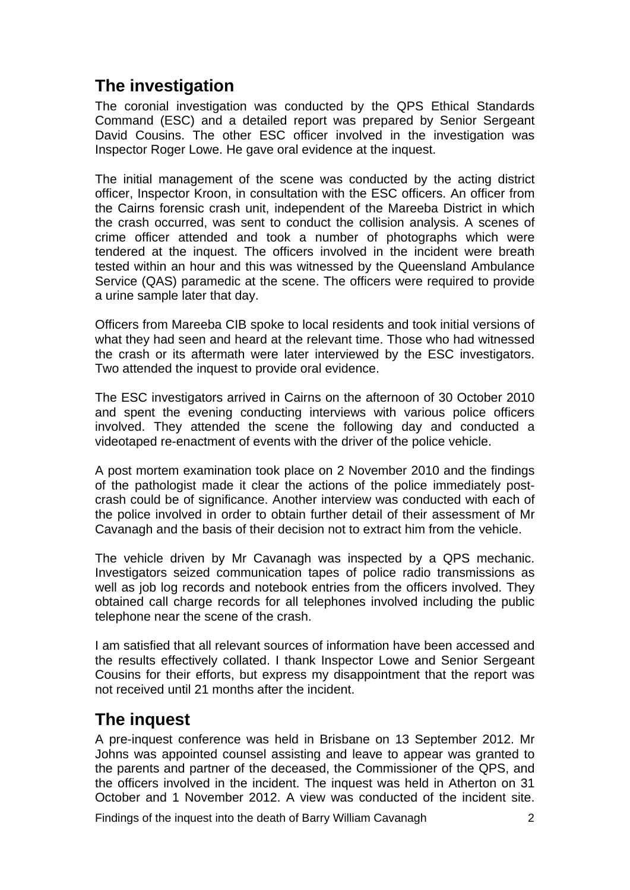# <span id="page-3-0"></span>**The investigation**

The coronial investigation was conducted by the QPS Ethical Standards Command (ESC) and a detailed report was prepared by Senior Sergeant David Cousins. The other ESC officer involved in the investigation was Inspector Roger Lowe. He gave oral evidence at the inquest.

The initial management of the scene was conducted by the acting district officer, Inspector Kroon, in consultation with the ESC officers. An officer from the Cairns forensic crash unit, independent of the Mareeba District in which the crash occurred, was sent to conduct the collision analysis. A scenes of crime officer attended and took a number of photographs which were tendered at the inquest. The officers involved in the incident were breath tested within an hour and this was witnessed by the Queensland Ambulance Service (QAS) paramedic at the scene. The officers were required to provide a urine sample later that day.

Officers from Mareeba CIB spoke to local residents and took initial versions of what they had seen and heard at the relevant time. Those who had witnessed the crash or its aftermath were later interviewed by the ESC investigators. Two attended the inquest to provide oral evidence.

The ESC investigators arrived in Cairns on the afternoon of 30 October 2010 and spent the evening conducting interviews with various police officers involved. They attended the scene the following day and conducted a videotaped re-enactment of events with the driver of the police vehicle.

A post mortem examination took place on 2 November 2010 and the findings of the pathologist made it clear the actions of the police immediately postcrash could be of significance. Another interview was conducted with each of the police involved in order to obtain further detail of their assessment of Mr Cavanagh and the basis of their decision not to extract him from the vehicle.

The vehicle driven by Mr Cavanagh was inspected by a QPS mechanic. Investigators seized communication tapes of police radio transmissions as well as job log records and notebook entries from the officers involved. They obtained call charge records for all telephones involved including the public telephone near the scene of the crash.

I am satisfied that all relevant sources of information have been accessed and the results effectively collated. I thank Inspector Lowe and Senior Sergeant Cousins for their efforts, but express my disappointment that the report was not received until 21 months after the incident.

# <span id="page-3-1"></span>**The inquest**

A pre-inquest conference was held in Brisbane on 13 September 2012. Mr Johns was appointed counsel assisting and leave to appear was granted to the parents and partner of the deceased, the Commissioner of the QPS, and the officers involved in the incident. The inquest was held in Atherton on 31 October and 1 November 2012. A view was conducted of the incident site.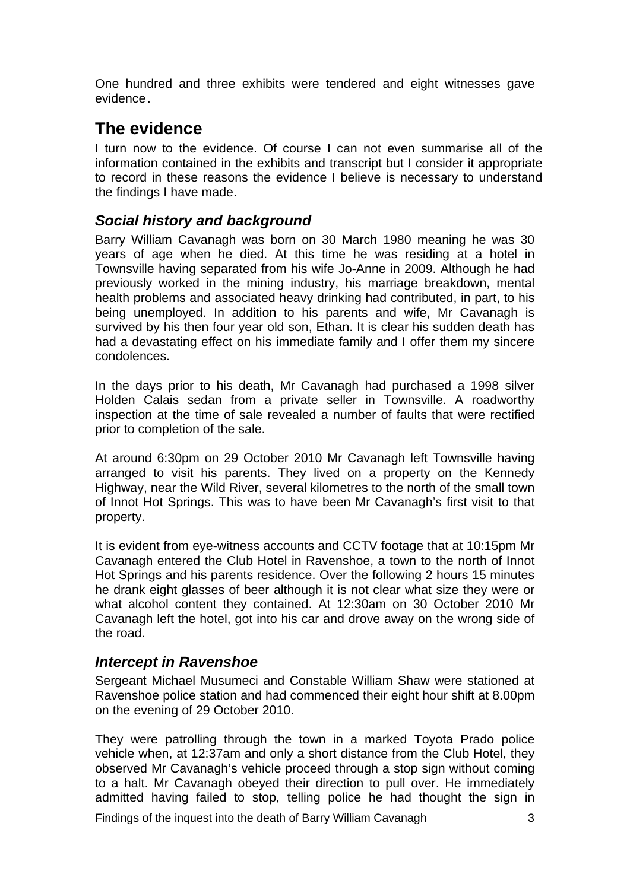One hundred and three exhibits were tendered and eight witnesses gave evidence.

# <span id="page-4-0"></span>**The evidence**

I turn now to the evidence. Of course I can not even summarise all of the information contained in the exhibits and transcript but I consider it appropriate to record in these reasons the evidence I believe is necessary to understand the findings I have made.

### <span id="page-4-1"></span>*Social history and background*

Barry William Cavanagh was born on 30 March 1980 meaning he was 30 years of age when he died. At this time he was residing at a hotel in Townsville having separated from his wife Jo-Anne in 2009. Although he had previously worked in the mining industry, his marriage breakdown, mental health problems and associated heavy drinking had contributed, in part, to his being unemployed. In addition to his parents and wife, Mr Cavanagh is survived by his then four year old son, Ethan. It is clear his sudden death has had a devastating effect on his immediate family and I offer them my sincere condolences.

In the days prior to his death, Mr Cavanagh had purchased a 1998 silver Holden Calais sedan from a private seller in Townsville. A roadworthy inspection at the time of sale revealed a number of faults that were rectified prior to completion of the sale.

At around 6:30pm on 29 October 2010 Mr Cavanagh left Townsville having arranged to visit his parents. They lived on a property on the Kennedy Highway, near the Wild River, several kilometres to the north of the small town of Innot Hot Springs. This was to have been Mr Cavanagh's first visit to that property.

It is evident from eye-witness accounts and CCTV footage that at 10:15pm Mr Cavanagh entered the Club Hotel in Ravenshoe, a town to the north of Innot Hot Springs and his parents residence. Over the following 2 hours 15 minutes he drank eight glasses of beer although it is not clear what size they were or what alcohol content they contained. At 12:30am on 30 October 2010 Mr Cavanagh left the hotel, got into his car and drove away on the wrong side of the road.

#### <span id="page-4-2"></span>*Intercept in Ravenshoe*

Sergeant Michael Musumeci and Constable William Shaw were stationed at Ravenshoe police station and had commenced their eight hour shift at 8.00pm on the evening of 29 October 2010.

They were patrolling through the town in a marked Toyota Prado police vehicle when, at 12:37am and only a short distance from the Club Hotel, they observed Mr Cavanagh's vehicle proceed through a stop sign without coming to a halt. Mr Cavanagh obeyed their direction to pull over. He immediately admitted having failed to stop, telling police he had thought the sign in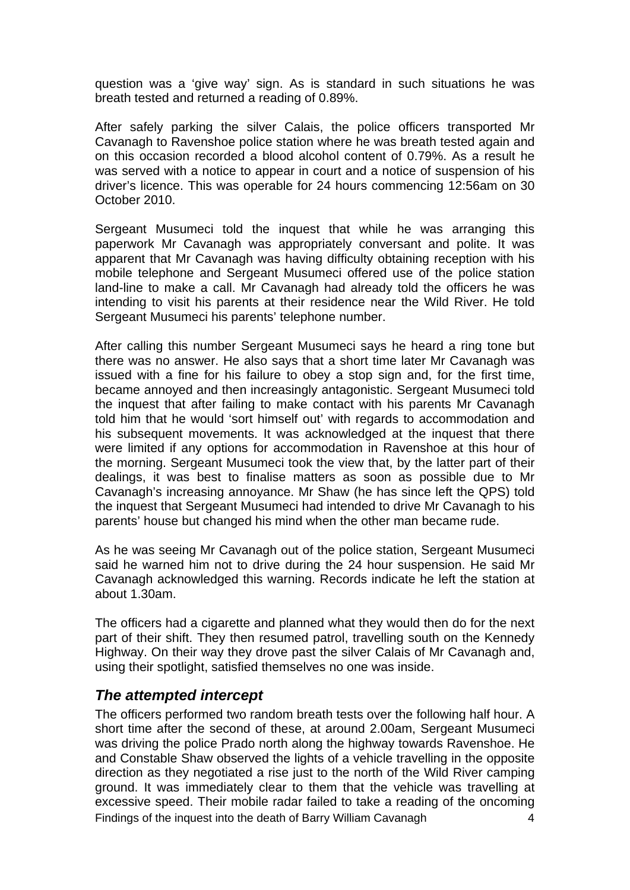question was a 'give way' sign. As is standard in such situations he was breath tested and returned a reading of 0.89%.

After safely parking the silver Calais, the police officers transported Mr Cavanagh to Ravenshoe police station where he was breath tested again and on this occasion recorded a blood alcohol content of 0.79%. As a result he was served with a notice to appear in court and a notice of suspension of his driver's licence. This was operable for 24 hours commencing 12:56am on 30 October 2010.

Sergeant Musumeci told the inquest that while he was arranging this paperwork Mr Cavanagh was appropriately conversant and polite. It was apparent that Mr Cavanagh was having difficulty obtaining reception with his mobile telephone and Sergeant Musumeci offered use of the police station land-line to make a call. Mr Cavanagh had already told the officers he was intending to visit his parents at their residence near the Wild River. He told Sergeant Musumeci his parents' telephone number.

After calling this number Sergeant Musumeci says he heard a ring tone but there was no answer. He also says that a short time later Mr Cavanagh was issued with a fine for his failure to obey a stop sign and, for the first time, became annoyed and then increasingly antagonistic. Sergeant Musumeci told the inquest that after failing to make contact with his parents Mr Cavanagh told him that he would 'sort himself out' with regards to accommodation and his subsequent movements. It was acknowledged at the inquest that there were limited if any options for accommodation in Ravenshoe at this hour of the morning. Sergeant Musumeci took the view that, by the latter part of their dealings, it was best to finalise matters as soon as possible due to Mr Cavanagh's increasing annoyance. Mr Shaw (he has since left the QPS) told the inquest that Sergeant Musumeci had intended to drive Mr Cavanagh to his parents' house but changed his mind when the other man became rude.

As he was seeing Mr Cavanagh out of the police station, Sergeant Musumeci said he warned him not to drive during the 24 hour suspension. He said Mr Cavanagh acknowledged this warning. Records indicate he left the station at about 1.30am.

The officers had a cigarette and planned what they would then do for the next part of their shift. They then resumed patrol, travelling south on the Kennedy Highway. On their way they drove past the silver Calais of Mr Cavanagh and, using their spotlight, satisfied themselves no one was inside.

#### <span id="page-5-0"></span>*The attempted intercept*

Findings of the inquest into the death of Barry William Cavanagh 4 The officers performed two random breath tests over the following half hour. A short time after the second of these, at around 2.00am, Sergeant Musumeci was driving the police Prado north along the highway towards Ravenshoe. He and Constable Shaw observed the lights of a vehicle travelling in the opposite direction as they negotiated a rise just to the north of the Wild River camping ground. It was immediately clear to them that the vehicle was travelling at excessive speed. Their mobile radar failed to take a reading of the oncoming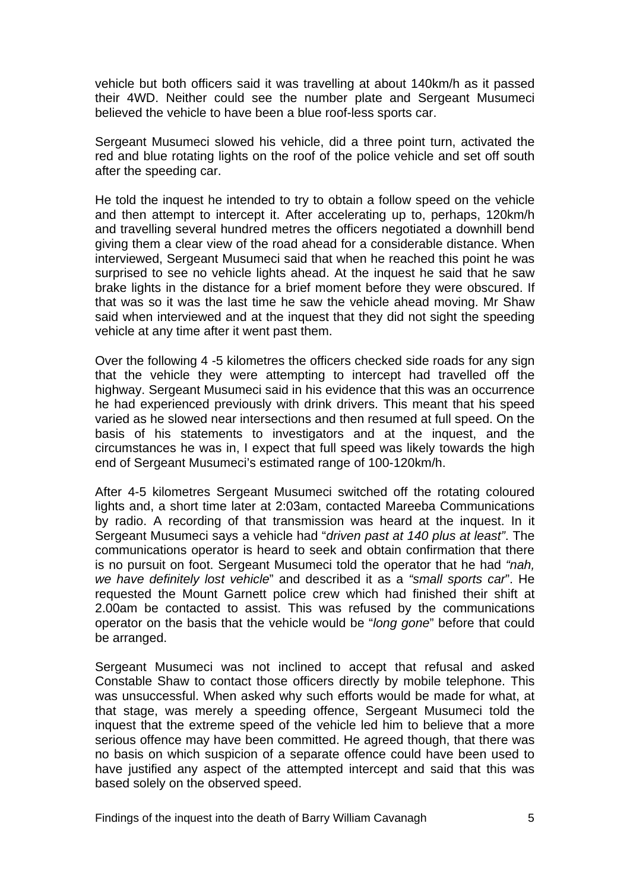vehicle but both officers said it was travelling at about 140km/h as it passed their 4WD. Neither could see the number plate and Sergeant Musumeci believed the vehicle to have been a blue roof-less sports car.

Sergeant Musumeci slowed his vehicle, did a three point turn, activated the red and blue rotating lights on the roof of the police vehicle and set off south after the speeding car.

He told the inquest he intended to try to obtain a follow speed on the vehicle and then attempt to intercept it. After accelerating up to, perhaps, 120km/h and travelling several hundred metres the officers negotiated a downhill bend giving them a clear view of the road ahead for a considerable distance. When interviewed, Sergeant Musumeci said that when he reached this point he was surprised to see no vehicle lights ahead. At the inquest he said that he saw brake lights in the distance for a brief moment before they were obscured. If that was so it was the last time he saw the vehicle ahead moving. Mr Shaw said when interviewed and at the inquest that they did not sight the speeding vehicle at any time after it went past them.

Over the following 4 -5 kilometres the officers checked side roads for any sign that the vehicle they were attempting to intercept had travelled off the highway. Sergeant Musumeci said in his evidence that this was an occurrence he had experienced previously with drink drivers. This meant that his speed varied as he slowed near intersections and then resumed at full speed. On the basis of his statements to investigators and at the inquest, and the circumstances he was in, I expect that full speed was likely towards the high end of Sergeant Musumeci's estimated range of 100-120km/h.

After 4-5 kilometres Sergeant Musumeci switched off the rotating coloured lights and, a short time later at 2:03am, contacted Mareeba Communications by radio. A recording of that transmission was heard at the inquest. In it Sergeant Musumeci says a vehicle had "*driven past at 140 plus at least"*. The communications operator is heard to seek and obtain confirmation that there is no pursuit on foot. Sergeant Musumeci told the operator that he had *"nah, we have definitely lost vehicle*" and described it as a *"small sports car*". He requested the Mount Garnett police crew which had finished their shift at 2.00am be contacted to assist. This was refused by the communications operator on the basis that the vehicle would be "*long gone*" before that could be arranged.

Sergeant Musumeci was not inclined to accept that refusal and asked Constable Shaw to contact those officers directly by mobile telephone. This was unsuccessful. When asked why such efforts would be made for what, at that stage, was merely a speeding offence, Sergeant Musumeci told the inquest that the extreme speed of the vehicle led him to believe that a more serious offence may have been committed. He agreed though, that there was no basis on which suspicion of a separate offence could have been used to have justified any aspect of the attempted intercept and said that this was based solely on the observed speed.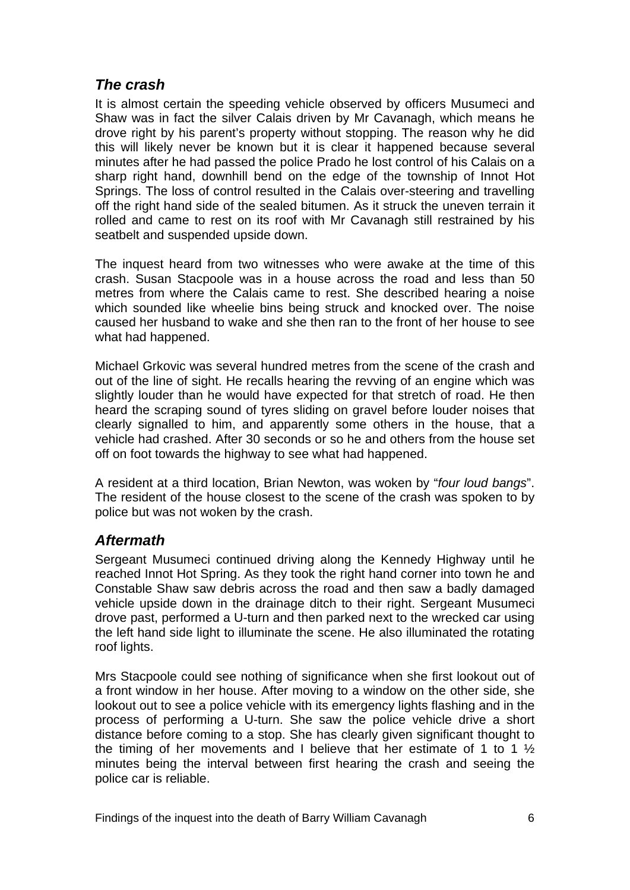### <span id="page-7-0"></span>*The crash*

It is almost certain the speeding vehicle observed by officers Musumeci and Shaw was in fact the silver Calais driven by Mr Cavanagh, which means he drove right by his parent's property without stopping. The reason why he did this will likely never be known but it is clear it happened because several minutes after he had passed the police Prado he lost control of his Calais on a sharp right hand, downhill bend on the edge of the township of Innot Hot Springs. The loss of control resulted in the Calais over-steering and travelling off the right hand side of the sealed bitumen. As it struck the uneven terrain it rolled and came to rest on its roof with Mr Cavanagh still restrained by his seatbelt and suspended upside down.

The inquest heard from two witnesses who were awake at the time of this crash. Susan Stacpoole was in a house across the road and less than 50 metres from where the Calais came to rest. She described hearing a noise which sounded like wheelie bins being struck and knocked over. The noise caused her husband to wake and she then ran to the front of her house to see what had happened.

Michael Grkovic was several hundred metres from the scene of the crash and out of the line of sight. He recalls hearing the revving of an engine which was slightly louder than he would have expected for that stretch of road. He then heard the scraping sound of tyres sliding on gravel before louder noises that clearly signalled to him, and apparently some others in the house, that a vehicle had crashed. After 30 seconds or so he and others from the house set off on foot towards the highway to see what had happened.

A resident at a third location, Brian Newton, was woken by "*four loud bangs*". The resident of the house closest to the scene of the crash was spoken to by police but was not woken by the crash.

#### <span id="page-7-1"></span>*Aftermath*

Sergeant Musumeci continued driving along the Kennedy Highway until he reached Innot Hot Spring. As they took the right hand corner into town he and Constable Shaw saw debris across the road and then saw a badly damaged vehicle upside down in the drainage ditch to their right. Sergeant Musumeci drove past, performed a U-turn and then parked next to the wrecked car using the left hand side light to illuminate the scene. He also illuminated the rotating roof lights.

Mrs Stacpoole could see nothing of significance when she first lookout out of a front window in her house. After moving to a window on the other side, she lookout out to see a police vehicle with its emergency lights flashing and in the process of performing a U-turn. She saw the police vehicle drive a short distance before coming to a stop. She has clearly given significant thought to the timing of her movements and I believe that her estimate of 1 to 1  $\frac{1}{2}$ minutes being the interval between first hearing the crash and seeing the police car is reliable.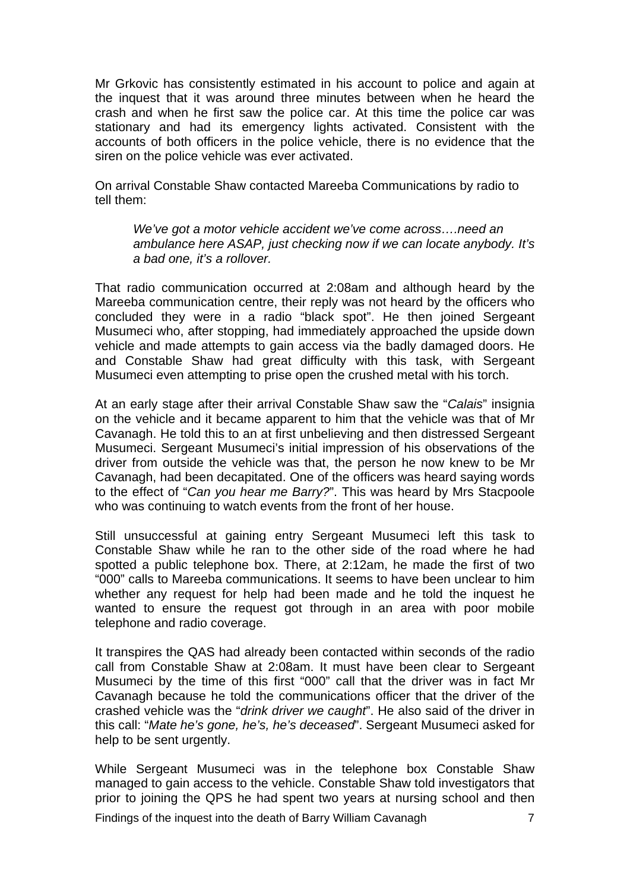Mr Grkovic has consistently estimated in his account to police and again at the inquest that it was around three minutes between when he heard the crash and when he first saw the police car. At this time the police car was stationary and had its emergency lights activated. Consistent with the accounts of both officers in the police vehicle, there is no evidence that the siren on the police vehicle was ever activated.

On arrival Constable Shaw contacted Mareeba Communications by radio to tell them:

*We've got a motor vehicle accident we've come across….need an ambulance here ASAP, just checking now if we can locate anybody. It's a bad one, it's a rollover.*

That radio communication occurred at 2:08am and although heard by the Mareeba communication centre, their reply was not heard by the officers who concluded they were in a radio "black spot". He then joined Sergeant Musumeci who, after stopping, had immediately approached the upside down vehicle and made attempts to gain access via the badly damaged doors. He and Constable Shaw had great difficulty with this task, with Sergeant Musumeci even attempting to prise open the crushed metal with his torch.

At an early stage after their arrival Constable Shaw saw the "*Calais*" insignia on the vehicle and it became apparent to him that the vehicle was that of Mr Cavanagh. He told this to an at first unbelieving and then distressed Sergeant Musumeci. Sergeant Musumeci's initial impression of his observations of the driver from outside the vehicle was that, the person he now knew to be Mr Cavanagh, had been decapitated. One of the officers was heard saying words to the effect of "*Can you hear me Barry?*". This was heard by Mrs Stacpoole who was continuing to watch events from the front of her house.

Still unsuccessful at gaining entry Sergeant Musumeci left this task to Constable Shaw while he ran to the other side of the road where he had spotted a public telephone box. There, at 2:12am, he made the first of two "000" calls to Mareeba communications. It seems to have been unclear to him whether any request for help had been made and he told the inquest he wanted to ensure the request got through in an area with poor mobile telephone and radio coverage.

It transpires the QAS had already been contacted within seconds of the radio call from Constable Shaw at 2:08am. It must have been clear to Sergeant Musumeci by the time of this first "000" call that the driver was in fact Mr Cavanagh because he told the communications officer that the driver of the crashed vehicle was the "*drink driver we caught*". He also said of the driver in this call: "*Mate he's gone, he's, he's deceased*". Sergeant Musumeci asked for help to be sent urgently.

While Sergeant Musumeci was in the telephone box Constable Shaw managed to gain access to the vehicle. Constable Shaw told investigators that prior to joining the QPS he had spent two years at nursing school and then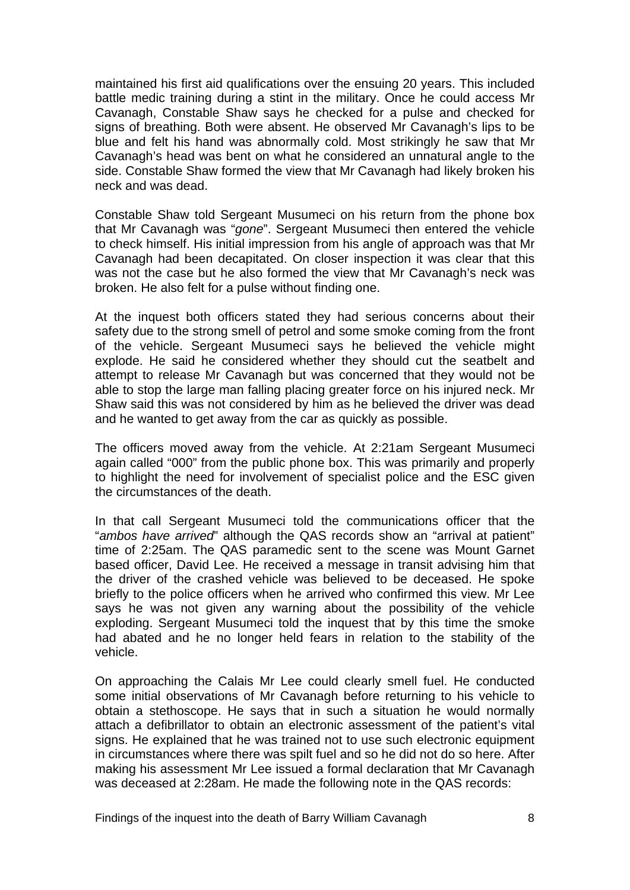maintained his first aid qualifications over the ensuing 20 years. This included battle medic training during a stint in the military. Once he could access Mr Cavanagh, Constable Shaw says he checked for a pulse and checked for signs of breathing. Both were absent. He observed Mr Cavanagh's lips to be blue and felt his hand was abnormally cold. Most strikingly he saw that Mr Cavanagh's head was bent on what he considered an unnatural angle to the side. Constable Shaw formed the view that Mr Cavanagh had likely broken his neck and was dead.

Constable Shaw told Sergeant Musumeci on his return from the phone box that Mr Cavanagh was "*gone*". Sergeant Musumeci then entered the vehicle to check himself. His initial impression from his angle of approach was that Mr Cavanagh had been decapitated. On closer inspection it was clear that this was not the case but he also formed the view that Mr Cavanagh's neck was broken. He also felt for a pulse without finding one.

At the inquest both officers stated they had serious concerns about their safety due to the strong smell of petrol and some smoke coming from the front of the vehicle. Sergeant Musumeci says he believed the vehicle might explode. He said he considered whether they should cut the seatbelt and attempt to release Mr Cavanagh but was concerned that they would not be able to stop the large man falling placing greater force on his injured neck. Mr Shaw said this was not considered by him as he believed the driver was dead and he wanted to get away from the car as quickly as possible.

The officers moved away from the vehicle. At 2:21am Sergeant Musumeci again called "000" from the public phone box. This was primarily and properly to highlight the need for involvement of specialist police and the ESC given the circumstances of the death.

In that call Sergeant Musumeci told the communications officer that the "*ambos have arrived*" although the QAS records show an "arrival at patient" time of 2:25am. The QAS paramedic sent to the scene was Mount Garnet based officer, David Lee. He received a message in transit advising him that the driver of the crashed vehicle was believed to be deceased. He spoke briefly to the police officers when he arrived who confirmed this view. Mr Lee says he was not given any warning about the possibility of the vehicle exploding. Sergeant Musumeci told the inquest that by this time the smoke had abated and he no longer held fears in relation to the stability of the vehicle.

On approaching the Calais Mr Lee could clearly smell fuel. He conducted some initial observations of Mr Cavanagh before returning to his vehicle to obtain a stethoscope. He says that in such a situation he would normally attach a defibrillator to obtain an electronic assessment of the patient's vital signs. He explained that he was trained not to use such electronic equipment in circumstances where there was spilt fuel and so he did not do so here. After making his assessment Mr Lee issued a formal declaration that Mr Cavanagh was deceased at 2:28am. He made the following note in the QAS records: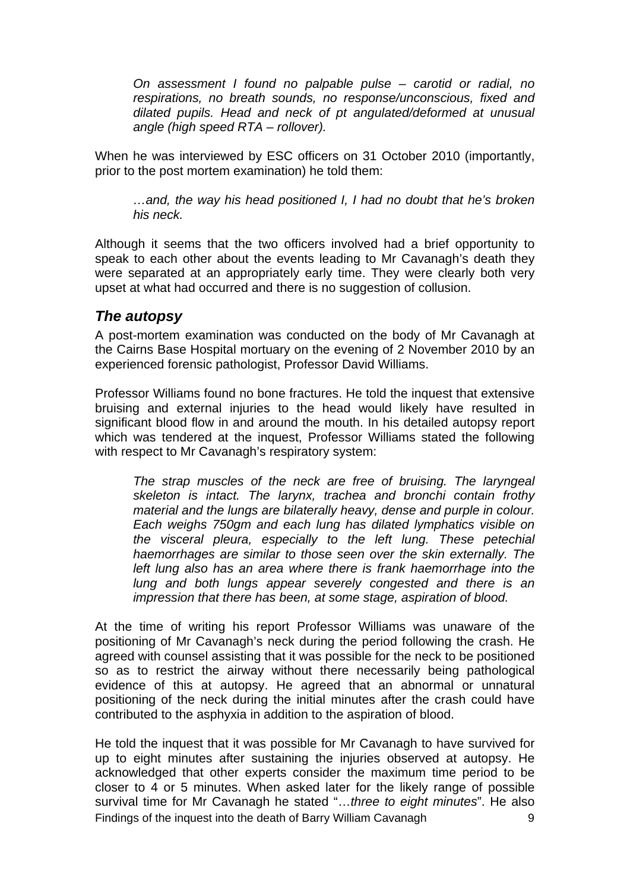*On assessment I found no palpable pulse – carotid or radial, no respirations, no breath sounds, no response/unconscious, fixed and dilated pupils. Head and neck of pt angulated/deformed at unusual angle (high speed RTA – rollover).* 

When he was interviewed by ESC officers on 31 October 2010 (importantly, prior to the post mortem examination) he told them:

*…and, the way his head positioned I, I had no doubt that he's broken his neck.*

Although it seems that the two officers involved had a brief opportunity to speak to each other about the events leading to Mr Cavanagh's death they were separated at an appropriately early time. They were clearly both very upset at what had occurred and there is no suggestion of collusion.

#### <span id="page-10-0"></span>*The autopsy*

A post-mortem examination was conducted on the body of Mr Cavanagh at the Cairns Base Hospital mortuary on the evening of 2 November 2010 by an experienced forensic pathologist, Professor David Williams.

Professor Williams found no bone fractures. He told the inquest that extensive bruising and external injuries to the head would likely have resulted in significant blood flow in and around the mouth. In his detailed autopsy report which was tendered at the inquest, Professor Williams stated the following with respect to Mr Cavanagh's respiratory system:

*The strap muscles of the neck are free of bruising. The laryngeal skeleton is intact. The larynx, trachea and bronchi contain frothy material and the lungs are bilaterally heavy, dense and purple in colour. Each weighs 750gm and each lung has dilated lymphatics visible on the visceral pleura, especially to the left lung. These petechial haemorrhages are similar to those seen over the skin externally. The left lung also has an area where there is frank haemorrhage into the lung and both lungs appear severely congested and there is an impression that there has been, at some stage, aspiration of blood.*

At the time of writing his report Professor Williams was unaware of the positioning of Mr Cavanagh's neck during the period following the crash. He agreed with counsel assisting that it was possible for the neck to be positioned so as to restrict the airway without there necessarily being pathological evidence of this at autopsy. He agreed that an abnormal or unnatural positioning of the neck during the initial minutes after the crash could have contributed to the asphyxia in addition to the aspiration of blood.

Findings of the inquest into the death of Barry William Cavanagh 9 He told the inquest that it was possible for Mr Cavanagh to have survived for up to eight minutes after sustaining the injuries observed at autopsy. He acknowledged that other experts consider the maximum time period to be closer to 4 or 5 minutes. When asked later for the likely range of possible survival time for Mr Cavanagh he stated "…*three to eight minutes*". He also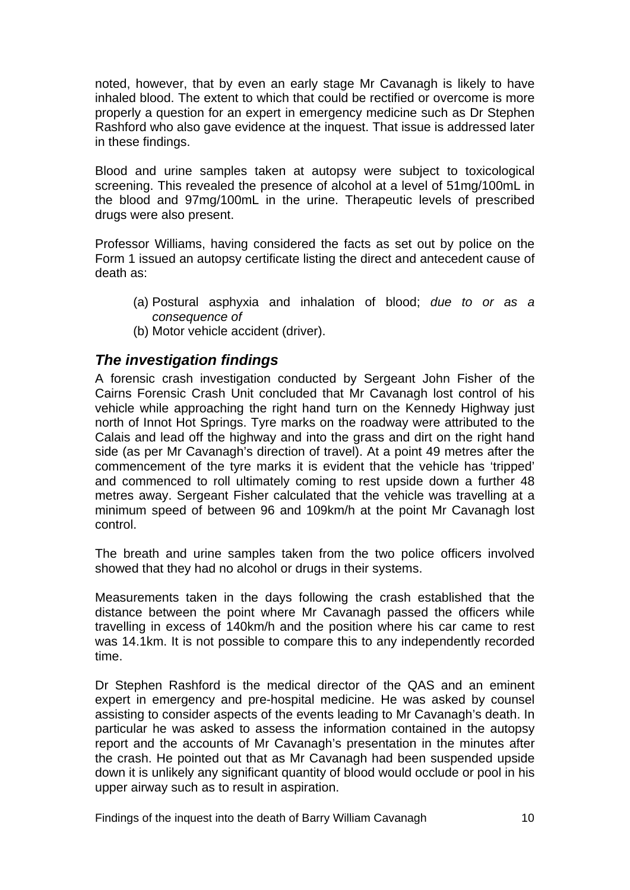noted, however, that by even an early stage Mr Cavanagh is likely to have inhaled blood. The extent to which that could be rectified or overcome is more properly a question for an expert in emergency medicine such as Dr Stephen Rashford who also gave evidence at the inquest. That issue is addressed later in these findings.

Blood and urine samples taken at autopsy were subject to toxicological screening. This revealed the presence of alcohol at a level of 51mg/100mL in the blood and 97mg/100mL in the urine. Therapeutic levels of prescribed drugs were also present.

Professor Williams, having considered the facts as set out by police on the Form 1 issued an autopsy certificate listing the direct and antecedent cause of death as:

- (a) Postural asphyxia and inhalation of blood; *due to or as a consequence of*
- (b) Motor vehicle accident (driver).

#### <span id="page-11-0"></span>*The investigation findings*

A forensic crash investigation conducted by Sergeant John Fisher of the Cairns Forensic Crash Unit concluded that Mr Cavanagh lost control of his vehicle while approaching the right hand turn on the Kennedy Highway just north of Innot Hot Springs. Tyre marks on the roadway were attributed to the Calais and lead off the highway and into the grass and dirt on the right hand side (as per Mr Cavanagh's direction of travel). At a point 49 metres after the commencement of the tyre marks it is evident that the vehicle has 'tripped' and commenced to roll ultimately coming to rest upside down a further 48 metres away. Sergeant Fisher calculated that the vehicle was travelling at a minimum speed of between 96 and 109km/h at the point Mr Cavanagh lost control.

The breath and urine samples taken from the two police officers involved showed that they had no alcohol or drugs in their systems.

Measurements taken in the days following the crash established that the distance between the point where Mr Cavanagh passed the officers while travelling in excess of 140km/h and the position where his car came to rest was 14.1km. It is not possible to compare this to any independently recorded time.

Dr Stephen Rashford is the medical director of the QAS and an eminent expert in emergency and pre-hospital medicine. He was asked by counsel assisting to consider aspects of the events leading to Mr Cavanagh's death. In particular he was asked to assess the information contained in the autopsy report and the accounts of Mr Cavanagh's presentation in the minutes after the crash. He pointed out that as Mr Cavanagh had been suspended upside down it is unlikely any significant quantity of blood would occlude or pool in his upper airway such as to result in aspiration.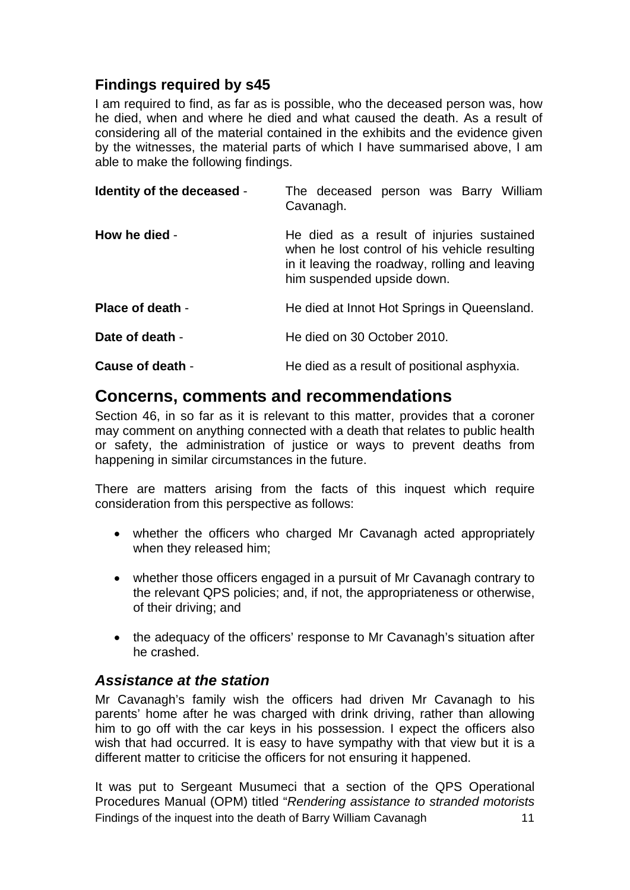### <span id="page-12-0"></span>**Findings required by s45**

I am required to find, as far as is possible, who the deceased person was, how he died, when and where he died and what caused the death. As a result of considering all of the material contained in the exhibits and the evidence given by the witnesses, the material parts of which I have summarised above, I am able to make the following findings.

<span id="page-12-2"></span><span id="page-12-1"></span>

| Identity of the deceased - | The deceased person was Barry William<br>Cavanagh.                                                                                                                         |  |
|----------------------------|----------------------------------------------------------------------------------------------------------------------------------------------------------------------------|--|
| How he died -              | He died as a result of injuries sustained<br>when he lost control of his vehicle resulting<br>in it leaving the roadway, rolling and leaving<br>him suspended upside down. |  |
| <b>Place of death -</b>    | He died at Innot Hot Springs in Queensland.                                                                                                                                |  |
| Date of death -            | He died on 30 October 2010.                                                                                                                                                |  |
| Cause of death -           | He died as a result of positional asphyxia.                                                                                                                                |  |

## <span id="page-12-6"></span><span id="page-12-5"></span><span id="page-12-4"></span><span id="page-12-3"></span>**Concerns, comments and recommendations**

Section 46, in so far as it is relevant to this matter, provides that a coroner may comment on anything connected with a death that relates to public health or safety, the administration of justice or ways to prevent deaths from happening in similar circumstances in the future.

There are matters arising from the facts of this inquest which require consideration from this perspective as follows:

- whether the officers who charged Mr Cavanagh acted appropriately when they released him;
- whether those officers engaged in a pursuit of Mr Cavanagh contrary to the relevant QPS policies; and, if not, the appropriateness or otherwise, of their driving; and
- the adequacy of the officers' response to Mr Cavanagh's situation after he crashed.

#### <span id="page-12-7"></span>*Assistance at the station*

Mr Cavanagh's family wish the officers had driven Mr Cavanagh to his parents' home after he was charged with drink driving, rather than allowing him to go off with the car keys in his possession. I expect the officers also wish that had occurred. It is easy to have sympathy with that view but it is a different matter to criticise the officers for not ensuring it happened.

Findings of the inquest into the death of Barry William Cavanagh 11 It was put to Sergeant Musumeci that a section of the QPS Operational Procedures Manual (OPM) titled "*Rendering assistance to stranded motorists*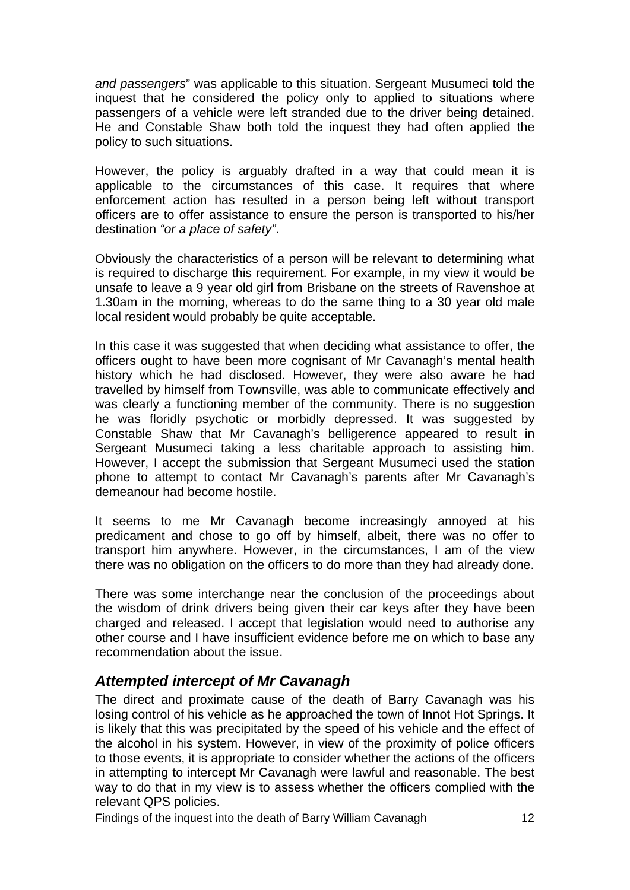*and passengers*" was applicable to this situation. Sergeant Musumeci told the inquest that he considered the policy only to applied to situations where passengers of a vehicle were left stranded due to the driver being detained. He and Constable Shaw both told the inquest they had often applied the policy to such situations.

However, the policy is arguably drafted in a way that could mean it is applicable to the circumstances of this case. It requires that where enforcement action has resulted in a person being left without transport officers are to offer assistance to ensure the person is transported to his/her destination *"or a place of safety"*.

Obviously the characteristics of a person will be relevant to determining what is required to discharge this requirement. For example, in my view it would be unsafe to leave a 9 year old girl from Brisbane on the streets of Ravenshoe at 1.30am in the morning, whereas to do the same thing to a 30 year old male local resident would probably be quite acceptable.

In this case it was suggested that when deciding what assistance to offer, the officers ought to have been more cognisant of Mr Cavanagh's mental health history which he had disclosed. However, they were also aware he had travelled by himself from Townsville, was able to communicate effectively and was clearly a functioning member of the community. There is no suggestion he was floridly psychotic or morbidly depressed. It was suggested by Constable Shaw that Mr Cavanagh's belligerence appeared to result in Sergeant Musumeci taking a less charitable approach to assisting him. However, I accept the submission that Sergeant Musumeci used the station phone to attempt to contact Mr Cavanagh's parents after Mr Cavanagh's demeanour had become hostile.

It seems to me Mr Cavanagh become increasingly annoyed at his predicament and chose to go off by himself, albeit, there was no offer to transport him anywhere. However, in the circumstances, I am of the view there was no obligation on the officers to do more than they had already done.

There was some interchange near the conclusion of the proceedings about the wisdom of drink drivers being given their car keys after they have been charged and released. I accept that legislation would need to authorise any other course and I have insufficient evidence before me on which to base any recommendation about the issue.

### <span id="page-13-0"></span>*Attempted intercept of Mr Cavanagh*

The direct and proximate cause of the death of Barry Cavanagh was his losing control of his vehicle as he approached the town of Innot Hot Springs. It is likely that this was precipitated by the speed of his vehicle and the effect of the alcohol in his system. However, in view of the proximity of police officers to those events, it is appropriate to consider whether the actions of the officers in attempting to intercept Mr Cavanagh were lawful and reasonable. The best way to do that in my view is to assess whether the officers complied with the relevant QPS policies.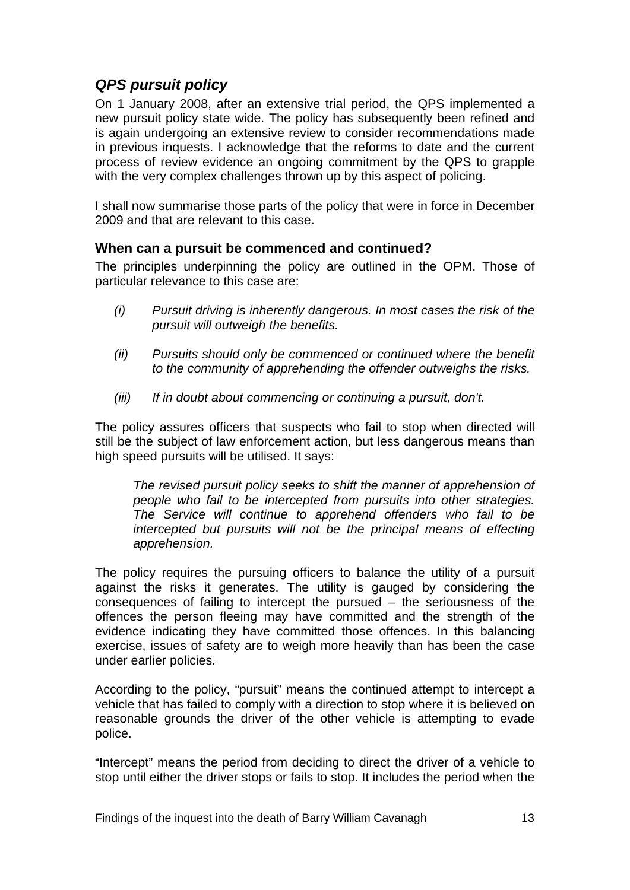# <span id="page-14-0"></span>*QPS pursuit policy*

On 1 January 2008, after an extensive trial period, the QPS implemented a new pursuit policy state wide. The policy has subsequently been refined and is again undergoing an extensive review to consider recommendations made in previous inquests. I acknowledge that the reforms to date and the current process of review evidence an ongoing commitment by the QPS to grapple with the very complex challenges thrown up by this aspect of policing.

I shall now summarise those parts of the policy that were in force in December 2009 and that are relevant to this case.

#### <span id="page-14-1"></span>**When can a pursuit be commenced and continued?**

The principles underpinning the policy are outlined in the OPM. Those of particular relevance to this case are:

- *(i) Pursuit driving is inherently dangerous. In most cases the risk of the pursuit will outweigh the benefits.*
- *(ii) Pursuits should only be commenced or continued where the benefit to the community of apprehending the offender outweighs the risks.*
- *(iii) If in doubt about commencing or continuing a pursuit, don't.*

The policy assures officers that suspects who fail to stop when directed will still be the subject of law enforcement action, but less dangerous means than high speed pursuits will be utilised. It says:

*The revised pursuit policy seeks to shift the manner of apprehension of people who fail to be intercepted from pursuits into other strategies. The Service will continue to apprehend offenders who fail to be intercepted but pursuits will not be the principal means of effecting apprehension.* 

The policy requires the pursuing officers to balance the utility of a pursuit against the risks it generates. The utility is gauged by considering the consequences of failing to intercept the pursued – the seriousness of the offences the person fleeing may have committed and the strength of the evidence indicating they have committed those offences. In this balancing exercise, issues of safety are to weigh more heavily than has been the case under earlier policies.

According to the policy, "pursuit" means the continued attempt to intercept a vehicle that has failed to comply with a direction to stop where it is believed on reasonable grounds the driver of the other vehicle is attempting to evade police.

"Intercept" means the period from deciding to direct the driver of a vehicle to stop until either the driver stops or fails to stop. It includes the period when the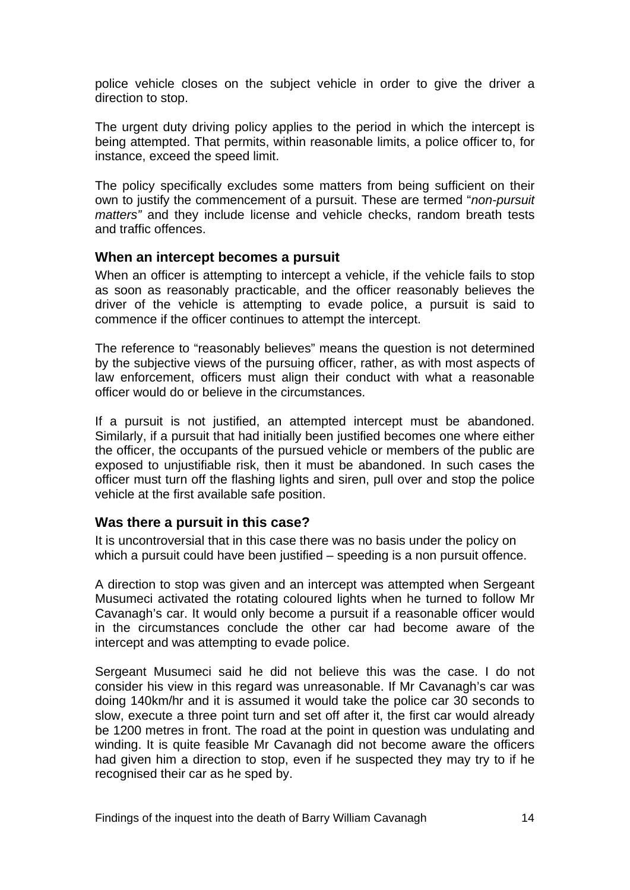police vehicle closes on the subject vehicle in order to give the driver a direction to stop.

The urgent duty driving policy applies to the period in which the intercept is being attempted. That permits, within reasonable limits, a police officer to, for instance, exceed the speed limit.

The policy specifically excludes some matters from being sufficient on their own to justify the commencement of a pursuit. These are termed "*non-pursuit matters"* and they include license and vehicle checks, random breath tests and traffic offences.

#### <span id="page-15-0"></span>**When an intercept becomes a pursuit**

When an officer is attempting to intercept a vehicle, if the vehicle fails to stop as soon as reasonably practicable, and the officer reasonably believes the driver of the vehicle is attempting to evade police, a pursuit is said to commence if the officer continues to attempt the intercept.

The reference to "reasonably believes" means the question is not determined by the subjective views of the pursuing officer, rather, as with most aspects of law enforcement, officers must align their conduct with what a reasonable officer would do or believe in the circumstances.

If a pursuit is not justified, an attempted intercept must be abandoned. Similarly, if a pursuit that had initially been justified becomes one where either the officer, the occupants of the pursued vehicle or members of the public are exposed to unjustifiable risk, then it must be abandoned. In such cases the officer must turn off the flashing lights and siren, pull over and stop the police vehicle at the first available safe position.

#### <span id="page-15-1"></span>**Was there a pursuit in this case?**

It is uncontroversial that in this case there was no basis under the policy on which a pursuit could have been justified – speeding is a non pursuit offence.

A direction to stop was given and an intercept was attempted when Sergeant Musumeci activated the rotating coloured lights when he turned to follow Mr Cavanagh's car. It would only become a pursuit if a reasonable officer would in the circumstances conclude the other car had become aware of the intercept and was attempting to evade police.

Sergeant Musumeci said he did not believe this was the case. I do not consider his view in this regard was unreasonable. If Mr Cavanagh's car was doing 140km/hr and it is assumed it would take the police car 30 seconds to slow, execute a three point turn and set off after it, the first car would already be 1200 metres in front. The road at the point in question was undulating and winding. It is quite feasible Mr Cavanagh did not become aware the officers had given him a direction to stop, even if he suspected they may try to if he recognised their car as he sped by.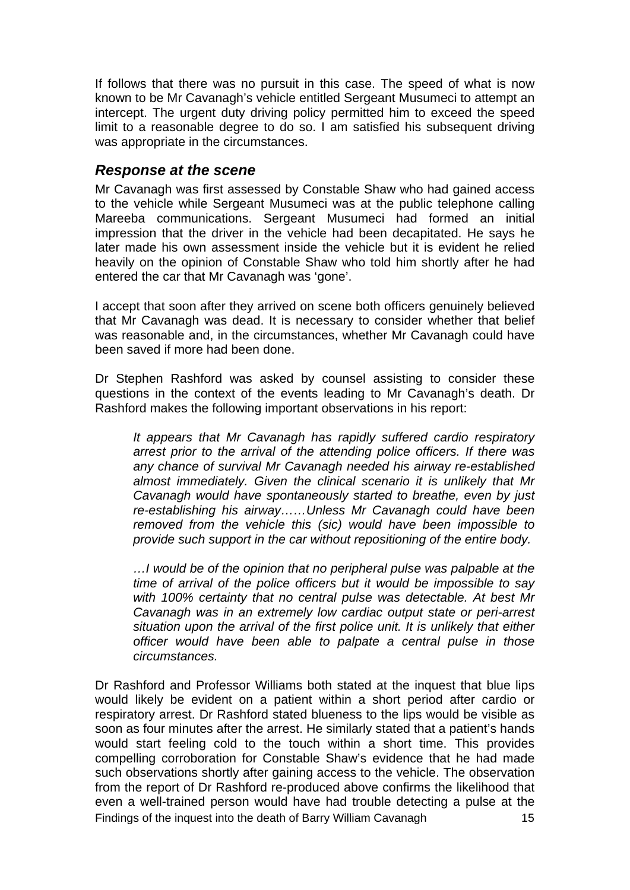If follows that there was no pursuit in this case. The speed of what is now known to be Mr Cavanagh's vehicle entitled Sergeant Musumeci to attempt an intercept. The urgent duty driving policy permitted him to exceed the speed limit to a reasonable degree to do so. I am satisfied his subsequent driving was appropriate in the circumstances.

#### <span id="page-16-0"></span>*Response at the scene*

Mr Cavanagh was first assessed by Constable Shaw who had gained access to the vehicle while Sergeant Musumeci was at the public telephone calling Mareeba communications. Sergeant Musumeci had formed an initial impression that the driver in the vehicle had been decapitated. He says he later made his own assessment inside the vehicle but it is evident he relied heavily on the opinion of Constable Shaw who told him shortly after he had entered the car that Mr Cavanagh was 'gone'.

I accept that soon after they arrived on scene both officers genuinely believed that Mr Cavanagh was dead. It is necessary to consider whether that belief was reasonable and, in the circumstances, whether Mr Cavanagh could have been saved if more had been done.

Dr Stephen Rashford was asked by counsel assisting to consider these questions in the context of the events leading to Mr Cavanagh's death. Dr Rashford makes the following important observations in his report:

*It appears that Mr Cavanagh has rapidly suffered cardio respiratory arrest prior to the arrival of the attending police officers. If there was any chance of survival Mr Cavanagh needed his airway re-established almost immediately. Given the clinical scenario it is unlikely that Mr Cavanagh would have spontaneously started to breathe, even by just re-establishing his airway……Unless Mr Cavanagh could have been removed from the vehicle this (sic) would have been impossible to provide such support in the car without repositioning of the entire body.* 

*…I would be of the opinion that no peripheral pulse was palpable at the time of arrival of the police officers but it would be impossible to say with 100% certainty that no central pulse was detectable. At best Mr Cavanagh was in an extremely low cardiac output state or peri-arrest situation upon the arrival of the first police unit. It is unlikely that either officer would have been able to palpate a central pulse in those circumstances.*

Findings of the inquest into the death of Barry William Cavanagh 15 Dr Rashford and Professor Williams both stated at the inquest that blue lips would likely be evident on a patient within a short period after cardio or respiratory arrest. Dr Rashford stated blueness to the lips would be visible as soon as four minutes after the arrest. He similarly stated that a patient's hands would start feeling cold to the touch within a short time. This provides compelling corroboration for Constable Shaw's evidence that he had made such observations shortly after gaining access to the vehicle. The observation from the report of Dr Rashford re-produced above confirms the likelihood that even a well-trained person would have had trouble detecting a pulse at the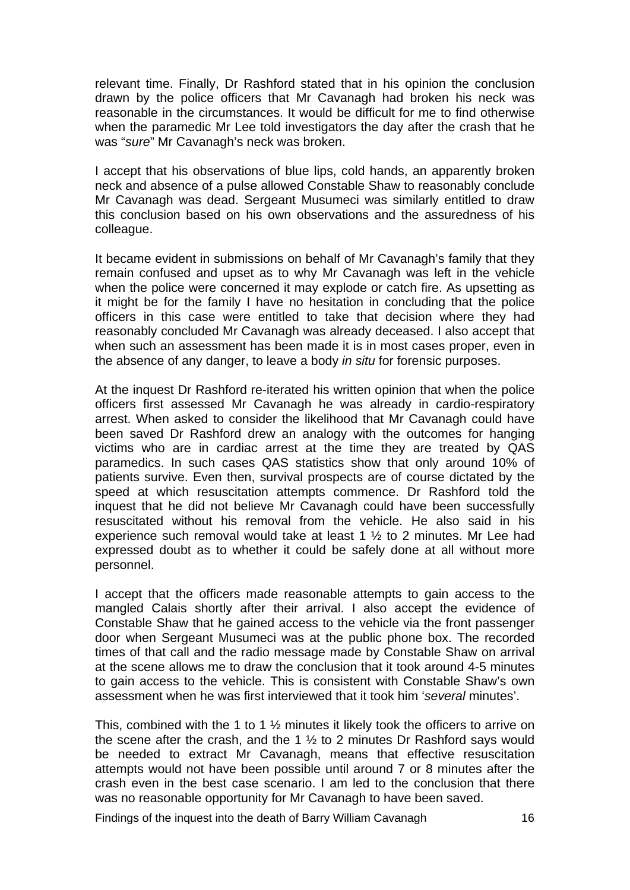relevant time. Finally, Dr Rashford stated that in his opinion the conclusion drawn by the police officers that Mr Cavanagh had broken his neck was reasonable in the circumstances. It would be difficult for me to find otherwise when the paramedic Mr Lee told investigators the day after the crash that he was "*sure*" Mr Cavanagh's neck was broken.

I accept that his observations of blue lips, cold hands, an apparently broken neck and absence of a pulse allowed Constable Shaw to reasonably conclude Mr Cavanagh was dead. Sergeant Musumeci was similarly entitled to draw this conclusion based on his own observations and the assuredness of his colleague.

It became evident in submissions on behalf of Mr Cavanagh's family that they remain confused and upset as to why Mr Cavanagh was left in the vehicle when the police were concerned it may explode or catch fire. As upsetting as it might be for the family I have no hesitation in concluding that the police officers in this case were entitled to take that decision where they had reasonably concluded Mr Cavanagh was already deceased. I also accept that when such an assessment has been made it is in most cases proper, even in the absence of any danger, to leave a body *in situ* for forensic purposes.

At the inquest Dr Rashford re-iterated his written opinion that when the police officers first assessed Mr Cavanagh he was already in cardio-respiratory arrest. When asked to consider the likelihood that Mr Cavanagh could have been saved Dr Rashford drew an analogy with the outcomes for hanging victims who are in cardiac arrest at the time they are treated by QAS paramedics. In such cases QAS statistics show that only around 10% of patients survive. Even then, survival prospects are of course dictated by the speed at which resuscitation attempts commence. Dr Rashford told the inquest that he did not believe Mr Cavanagh could have been successfully resuscitated without his removal from the vehicle. He also said in his experience such removal would take at least 1 ½ to 2 minutes. Mr Lee had expressed doubt as to whether it could be safely done at all without more personnel.

I accept that the officers made reasonable attempts to gain access to the mangled Calais shortly after their arrival. I also accept the evidence of Constable Shaw that he gained access to the vehicle via the front passenger door when Sergeant Musumeci was at the public phone box. The recorded times of that call and the radio message made by Constable Shaw on arrival at the scene allows me to draw the conclusion that it took around 4-5 minutes to gain access to the vehicle. This is consistent with Constable Shaw's own assessment when he was first interviewed that it took him '*several* minutes'.

This, combined with the 1 to 1 ½ minutes it likely took the officers to arrive on the scene after the crash, and the 1 ½ to 2 minutes Dr Rashford says would be needed to extract Mr Cavanagh, means that effective resuscitation attempts would not have been possible until around 7 or 8 minutes after the crash even in the best case scenario. I am led to the conclusion that there was no reasonable opportunity for Mr Cavanagh to have been saved.